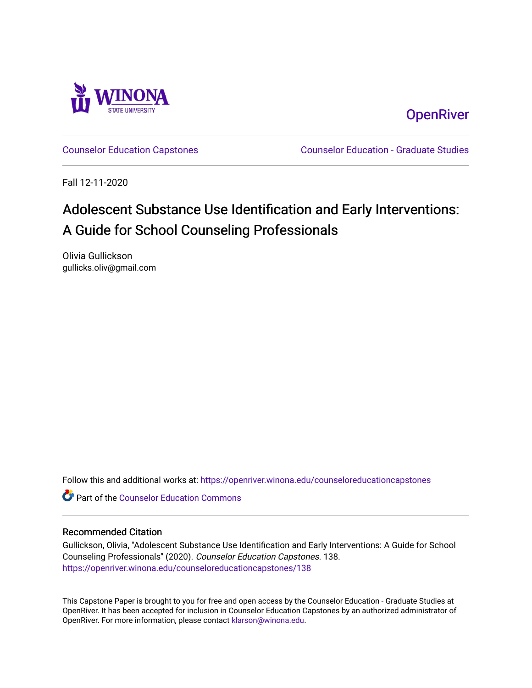

**OpenRiver** 

[Counselor Education Capstones](https://openriver.winona.edu/counseloreducationcapstones) [Counselor Education - Graduate Studies](https://openriver.winona.edu/counseloreducation) 

Fall 12-11-2020

# Adolescent Substance Use Identification and Early Interventions: A Guide for School Counseling Professionals

Olivia Gullickson gullicks.oliv@gmail.com

Follow this and additional works at: [https://openriver.winona.edu/counseloreducationcapstones](https://openriver.winona.edu/counseloreducationcapstones?utm_source=openriver.winona.edu%2Fcounseloreducationcapstones%2F138&utm_medium=PDF&utm_campaign=PDFCoverPages)

**C** Part of the Counselor Education Commons

#### Recommended Citation

Gullickson, Olivia, "Adolescent Substance Use Identification and Early Interventions: A Guide for School Counseling Professionals" (2020). Counselor Education Capstones. 138. [https://openriver.winona.edu/counseloreducationcapstones/138](https://openriver.winona.edu/counseloreducationcapstones/138?utm_source=openriver.winona.edu%2Fcounseloreducationcapstones%2F138&utm_medium=PDF&utm_campaign=PDFCoverPages)

This Capstone Paper is brought to you for free and open access by the Counselor Education - Graduate Studies at OpenRiver. It has been accepted for inclusion in Counselor Education Capstones by an authorized administrator of OpenRiver. For more information, please contact [klarson@winona.edu](mailto:klarson@winona.edu).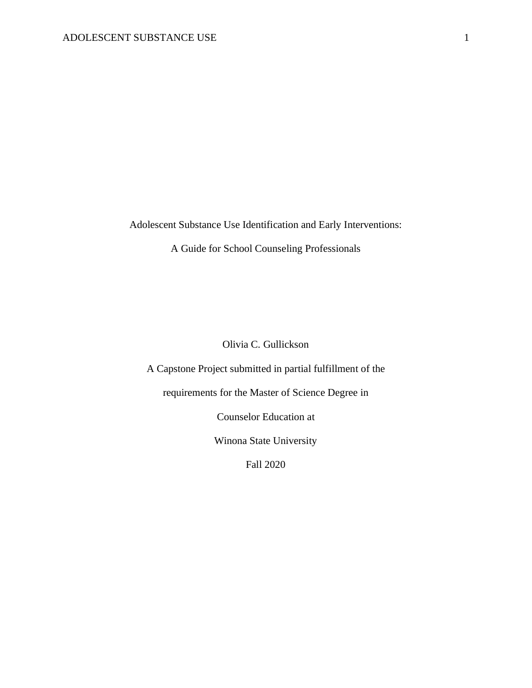Adolescent Substance Use Identification and Early Interventions:

A Guide for School Counseling Professionals

Olivia C. Gullickson

A Capstone Project submitted in partial fulfillment of the

requirements for the Master of Science Degree in

Counselor Education at

Winona State University

Fall 2020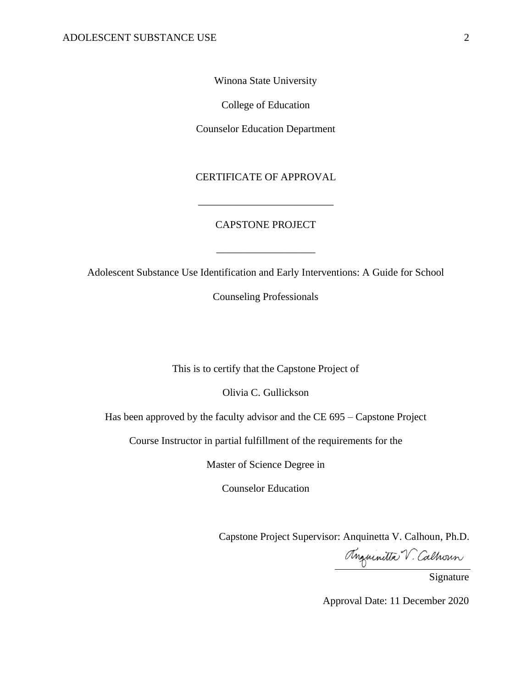Winona State University

College of Education

Counselor Education Department

CERTIFICATE OF APPROVAL

\_\_\_\_\_\_\_\_\_\_\_\_\_\_\_\_\_\_\_\_\_\_\_\_\_\_

### CAPSTONE PROJECT

Adolescent Substance Use Identification and Early Interventions: A Guide for School

\_\_\_\_\_\_\_\_\_\_\_\_\_\_\_\_\_\_\_

Counseling Professionals

This is to certify that the Capstone Project of

Olivia C. Gullickson

Has been approved by the faculty advisor and the CE 695 – Capstone Project

Course Instructor in partial fulfillment of the requirements for the

Master of Science Degree in

Counselor Education

Capstone Project Supervisor: Anquinetta V. Calhoun, Ph.D.

Anguinitta V. Calhoun

Approval Date: 11 December 2020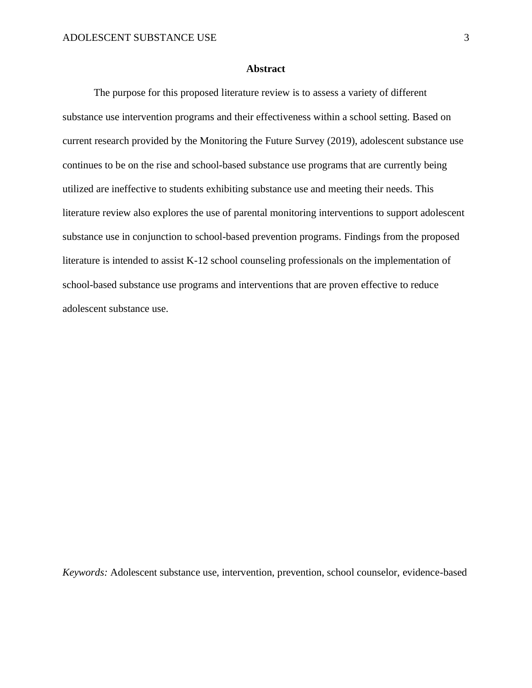#### **Abstract**

The purpose for this proposed literature review is to assess a variety of different substance use intervention programs and their effectiveness within a school setting. Based on current research provided by the Monitoring the Future Survey (2019), adolescent substance use continues to be on the rise and school-based substance use programs that are currently being utilized are ineffective to students exhibiting substance use and meeting their needs. This literature review also explores the use of parental monitoring interventions to support adolescent substance use in conjunction to school-based prevention programs. Findings from the proposed literature is intended to assist K-12 school counseling professionals on the implementation of school-based substance use programs and interventions that are proven effective to reduce adolescent substance use.

*Keywords:* Adolescent substance use, intervention, prevention, school counselor, evidence-based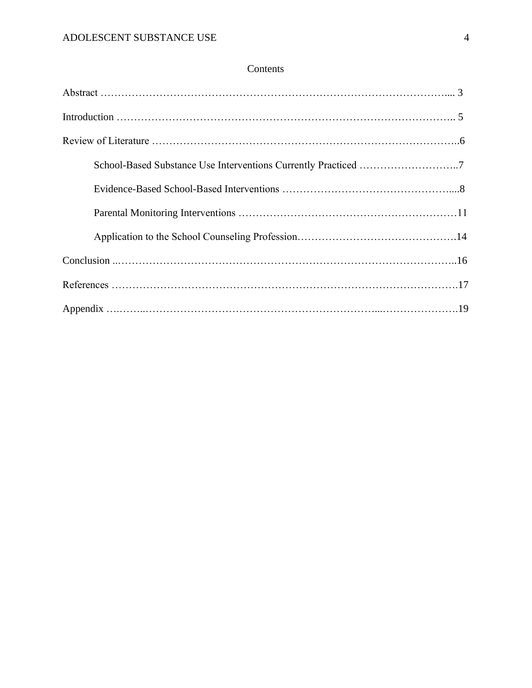### Contents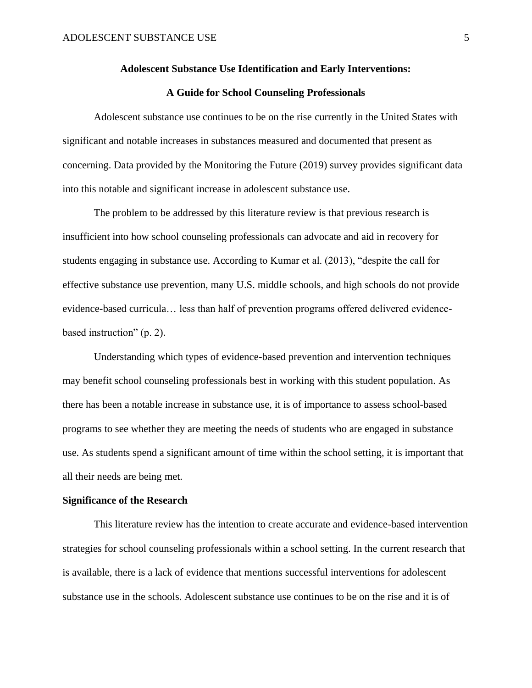#### **Adolescent Substance Use Identification and Early Interventions:**

#### **A Guide for School Counseling Professionals**

Adolescent substance use continues to be on the rise currently in the United States with significant and notable increases in substances measured and documented that present as concerning. Data provided by the Monitoring the Future (2019) survey provides significant data into this notable and significant increase in adolescent substance use.

The problem to be addressed by this literature review is that previous research is insufficient into how school counseling professionals can advocate and aid in recovery for students engaging in substance use. According to Kumar et al. (2013), "despite the call for effective substance use prevention, many U.S. middle schools, and high schools do not provide evidence-based curricula… less than half of prevention programs offered delivered evidencebased instruction" (p. 2).

Understanding which types of evidence-based prevention and intervention techniques may benefit school counseling professionals best in working with this student population. As there has been a notable increase in substance use, it is of importance to assess school-based programs to see whether they are meeting the needs of students who are engaged in substance use. As students spend a significant amount of time within the school setting, it is important that all their needs are being met.

#### **Significance of the Research**

This literature review has the intention to create accurate and evidence-based intervention strategies for school counseling professionals within a school setting. In the current research that is available, there is a lack of evidence that mentions successful interventions for adolescent substance use in the schools. Adolescent substance use continues to be on the rise and it is of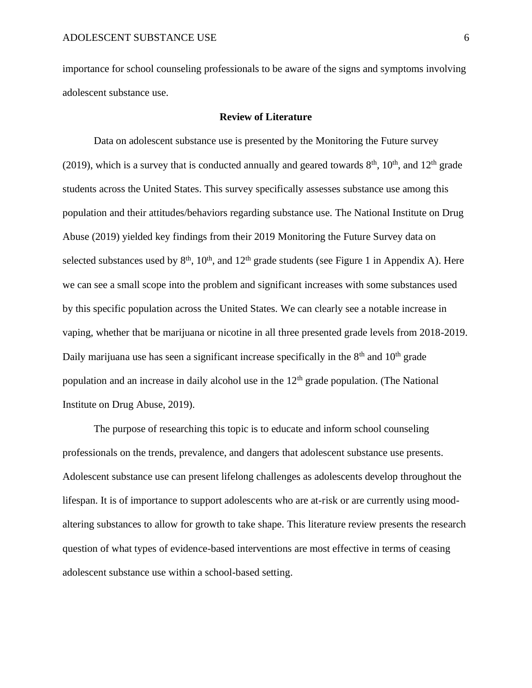importance for school counseling professionals to be aware of the signs and symptoms involving adolescent substance use.

#### **Review of Literature**

Data on adolescent substance use is presented by the Monitoring the Future survey (2019), which is a survey that is conducted annually and geared towards  $8<sup>th</sup>$ , 10<sup>th</sup>, and 12<sup>th</sup> grade students across the United States. This survey specifically assesses substance use among this population and their attitudes/behaviors regarding substance use. The National Institute on Drug Abuse (2019) yielded key findings from their 2019 Monitoring the Future Survey data on selected substances used by  $8<sup>th</sup>$ ,  $10<sup>th</sup>$ , and  $12<sup>th</sup>$  grade students (see Figure 1 in Appendix A). Here we can see a small scope into the problem and significant increases with some substances used by this specific population across the United States. We can clearly see a notable increase in vaping, whether that be marijuana or nicotine in all three presented grade levels from 2018-2019. Daily marijuana use has seen a significant increase specifically in the  $8<sup>th</sup>$  and  $10<sup>th</sup>$  grade population and an increase in daily alcohol use in the  $12<sup>th</sup>$  grade population. (The National Institute on Drug Abuse, 2019).

The purpose of researching this topic is to educate and inform school counseling professionals on the trends, prevalence, and dangers that adolescent substance use presents. Adolescent substance use can present lifelong challenges as adolescents develop throughout the lifespan. It is of importance to support adolescents who are at-risk or are currently using moodaltering substances to allow for growth to take shape. This literature review presents the research question of what types of evidence-based interventions are most effective in terms of ceasing adolescent substance use within a school-based setting.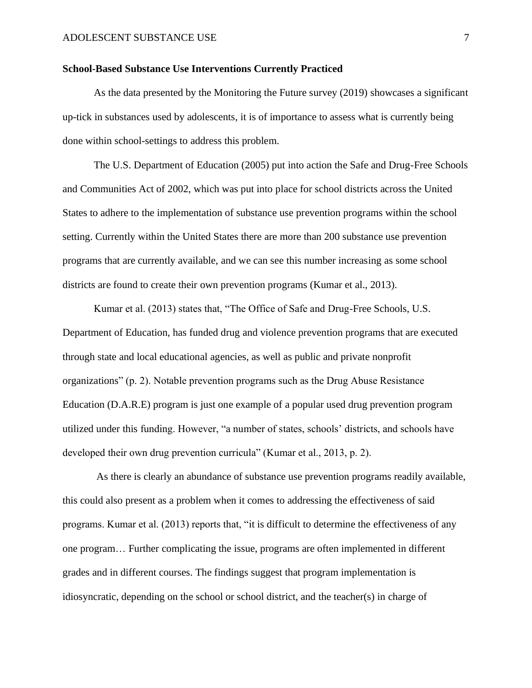#### **School-Based Substance Use Interventions Currently Practiced**

As the data presented by the Monitoring the Future survey (2019) showcases a significant up-tick in substances used by adolescents, it is of importance to assess what is currently being done within school-settings to address this problem.

The U.S. Department of Education (2005) put into action the Safe and Drug-Free Schools and Communities Act of 2002, which was put into place for school districts across the United States to adhere to the implementation of substance use prevention programs within the school setting. Currently within the United States there are more than 200 substance use prevention programs that are currently available, and we can see this number increasing as some school districts are found to create their own prevention programs (Kumar et al., 2013).

Kumar et al. (2013) states that, "The Office of Safe and Drug-Free Schools, U.S. Department of Education, has funded drug and violence prevention programs that are executed through state and local educational agencies, as well as public and private nonprofit organizations" (p. 2). Notable prevention programs such as the Drug Abuse Resistance Education (D.A.R.E) program is just one example of a popular used drug prevention program utilized under this funding. However, "a number of states, schools' districts, and schools have developed their own drug prevention curricula" (Kumar et al., 2013, p. 2).

As there is clearly an abundance of substance use prevention programs readily available, this could also present as a problem when it comes to addressing the effectiveness of said programs. Kumar et al. (2013) reports that, "it is difficult to determine the effectiveness of any one program… Further complicating the issue, programs are often implemented in different grades and in different courses. The findings suggest that program implementation is idiosyncratic, depending on the school or school district, and the teacher(s) in charge of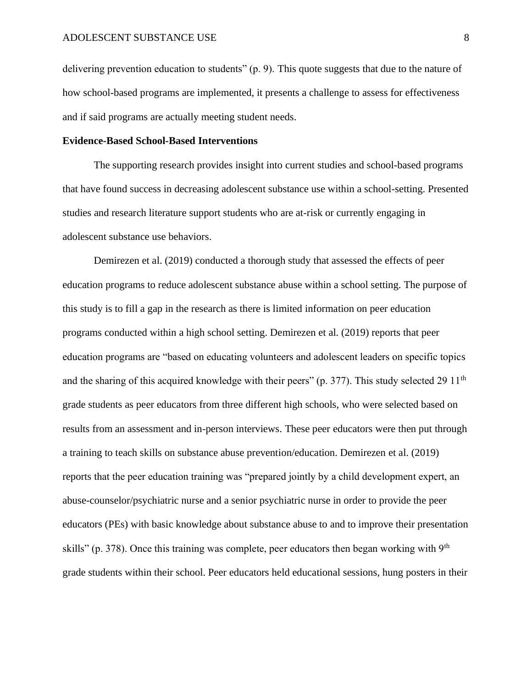delivering prevention education to students" (p. 9). This quote suggests that due to the nature of how school-based programs are implemented, it presents a challenge to assess for effectiveness and if said programs are actually meeting student needs.

#### **Evidence-Based School-Based Interventions**

The supporting research provides insight into current studies and school-based programs that have found success in decreasing adolescent substance use within a school-setting. Presented studies and research literature support students who are at-risk or currently engaging in adolescent substance use behaviors.

Demirezen et al. (2019) conducted a thorough study that assessed the effects of peer education programs to reduce adolescent substance abuse within a school setting. The purpose of this study is to fill a gap in the research as there is limited information on peer education programs conducted within a high school setting. Demirezen et al. (2019) reports that peer education programs are "based on educating volunteers and adolescent leaders on specific topics and the sharing of this acquired knowledge with their peers" (p. 377). This study selected 29 11<sup>th</sup> grade students as peer educators from three different high schools, who were selected based on results from an assessment and in-person interviews. These peer educators were then put through a training to teach skills on substance abuse prevention/education. Demirezen et al. (2019) reports that the peer education training was "prepared jointly by a child development expert, an abuse-counselor/psychiatric nurse and a senior psychiatric nurse in order to provide the peer educators (PEs) with basic knowledge about substance abuse to and to improve their presentation skills" (p. 378). Once this training was complete, peer educators then began working with  $9<sup>th</sup>$ grade students within their school. Peer educators held educational sessions, hung posters in their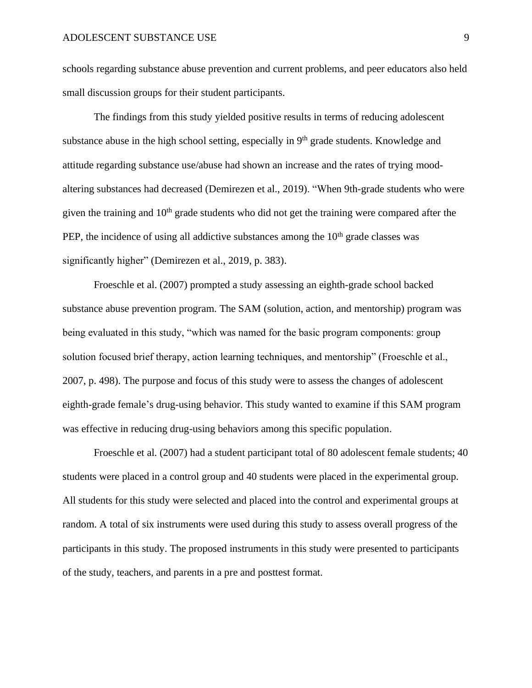schools regarding substance abuse prevention and current problems, and peer educators also held small discussion groups for their student participants.

The findings from this study yielded positive results in terms of reducing adolescent substance abuse in the high school setting, especially in 9<sup>th</sup> grade students. Knowledge and attitude regarding substance use/abuse had shown an increase and the rates of trying moodaltering substances had decreased (Demirezen et al., 2019). "When 9th-grade students who were given the training and  $10<sup>th</sup>$  grade students who did not get the training were compared after the PEP, the incidence of using all addictive substances among the  $10<sup>th</sup>$  grade classes was significantly higher" (Demirezen et al., 2019, p. 383).

Froeschle et al. (2007) prompted a study assessing an eighth-grade school backed substance abuse prevention program. The SAM (solution, action, and mentorship) program was being evaluated in this study, "which was named for the basic program components: group solution focused brief therapy, action learning techniques, and mentorship" (Froeschle et al., 2007, p. 498). The purpose and focus of this study were to assess the changes of adolescent eighth-grade female's drug-using behavior. This study wanted to examine if this SAM program was effective in reducing drug-using behaviors among this specific population.

Froeschle et al. (2007) had a student participant total of 80 adolescent female students; 40 students were placed in a control group and 40 students were placed in the experimental group. All students for this study were selected and placed into the control and experimental groups at random. A total of six instruments were used during this study to assess overall progress of the participants in this study. The proposed instruments in this study were presented to participants of the study, teachers, and parents in a pre and posttest format.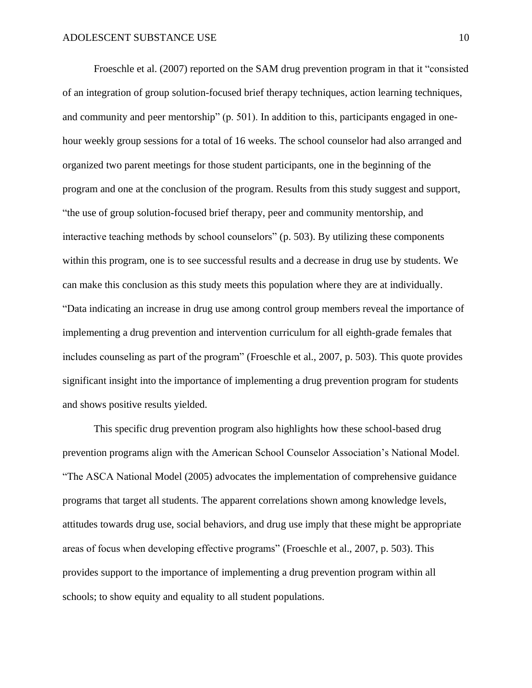Froeschle et al. (2007) reported on the SAM drug prevention program in that it "consisted of an integration of group solution-focused brief therapy techniques, action learning techniques, and community and peer mentorship" (p. 501). In addition to this, participants engaged in onehour weekly group sessions for a total of 16 weeks. The school counselor had also arranged and organized two parent meetings for those student participants, one in the beginning of the program and one at the conclusion of the program. Results from this study suggest and support, "the use of group solution-focused brief therapy, peer and community mentorship, and interactive teaching methods by school counselors" (p. 503). By utilizing these components within this program, one is to see successful results and a decrease in drug use by students. We can make this conclusion as this study meets this population where they are at individually. "Data indicating an increase in drug use among control group members reveal the importance of implementing a drug prevention and intervention curriculum for all eighth-grade females that includes counseling as part of the program" (Froeschle et al., 2007, p. 503). This quote provides significant insight into the importance of implementing a drug prevention program for students and shows positive results yielded.

This specific drug prevention program also highlights how these school-based drug prevention programs align with the American School Counselor Association's National Model. "The ASCA National Model (2005) advocates the implementation of comprehensive guidance programs that target all students. The apparent correlations shown among knowledge levels, attitudes towards drug use, social behaviors, and drug use imply that these might be appropriate areas of focus when developing effective programs" (Froeschle et al., 2007, p. 503). This provides support to the importance of implementing a drug prevention program within all schools; to show equity and equality to all student populations.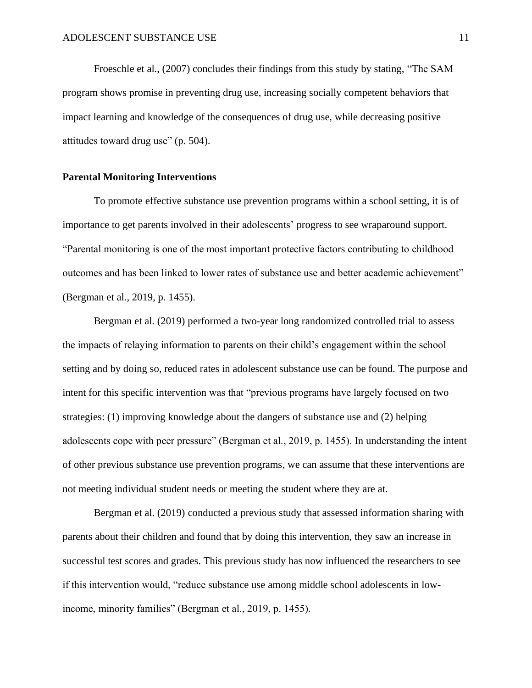Froeschle et al., (2007) concludes their findings from this study by stating, "The SAM program shows promise in preventing drug use, increasing socially competent behaviors that impact learning and knowledge of the consequences of drug use, while decreasing positive attitudes toward drug use" (p. 504).

#### **Parental Monitoring Interventions**

To promote effective substance use prevention programs within a school setting, it is of importance to get parents involved in their adolescents' progress to see wraparound support. "Parental monitoring is one of the most important protective factors contributing to childhood outcomes and has been linked to lower rates of substance use and better academic achievement" (Bergman et al., 2019, p. 1455).

Bergman et al. (2019) performed a two-year long randomized controlled trial to assess the impacts of relaying information to parents on their child's engagement within the school setting and by doing so, reduced rates in adolescent substance use can be found. The purpose and intent for this specific intervention was that "previous programs have largely focused on two strategies: (1) improving knowledge about the dangers of substance use and (2) helping adolescents cope with peer pressure" (Bergman et al., 2019, p. 1455). In understanding the intent of other previous substance use prevention programs, we can assume that these interventions are not meeting individual student needs or meeting the student where they are at.

Bergman et al. (2019) conducted a previous study that assessed information sharing with parents about their children and found that by doing this intervention, they saw an increase in successful test scores and grades. This previous study has now influenced the researchers to see if this intervention would, "reduce substance use among middle school adolescents in lowincome, minority families" (Bergman et al., 2019, p. 1455).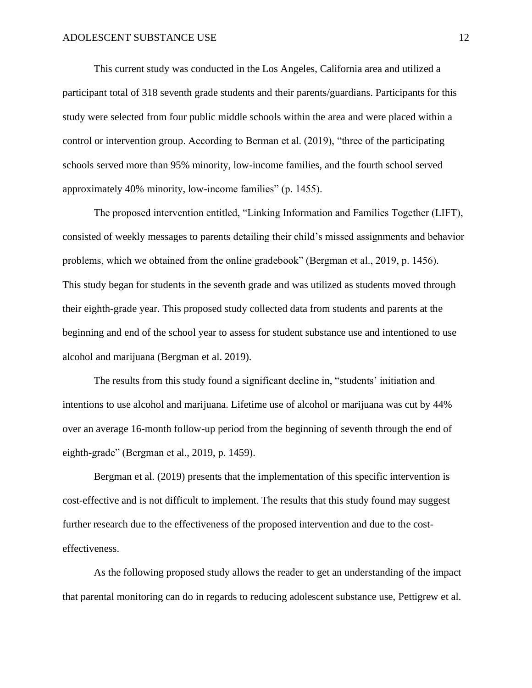This current study was conducted in the Los Angeles, California area and utilized a participant total of 318 seventh grade students and their parents/guardians. Participants for this study were selected from four public middle schools within the area and were placed within a control or intervention group. According to Berman et al. (2019), "three of the participating schools served more than 95% minority, low-income families, and the fourth school served approximately 40% minority, low-income families" (p. 1455).

The proposed intervention entitled, "Linking Information and Families Together (LIFT), consisted of weekly messages to parents detailing their child's missed assignments and behavior problems, which we obtained from the online gradebook" (Bergman et al., 2019, p. 1456). This study began for students in the seventh grade and was utilized as students moved through their eighth-grade year. This proposed study collected data from students and parents at the beginning and end of the school year to assess for student substance use and intentioned to use alcohol and marijuana (Bergman et al. 2019).

The results from this study found a significant decline in, "students' initiation and intentions to use alcohol and marijuana. Lifetime use of alcohol or marijuana was cut by 44% over an average 16-month follow-up period from the beginning of seventh through the end of eighth-grade" (Bergman et al., 2019, p. 1459).

Bergman et al. (2019) presents that the implementation of this specific intervention is cost-effective and is not difficult to implement. The results that this study found may suggest further research due to the effectiveness of the proposed intervention and due to the costeffectiveness.

As the following proposed study allows the reader to get an understanding of the impact that parental monitoring can do in regards to reducing adolescent substance use, Pettigrew et al.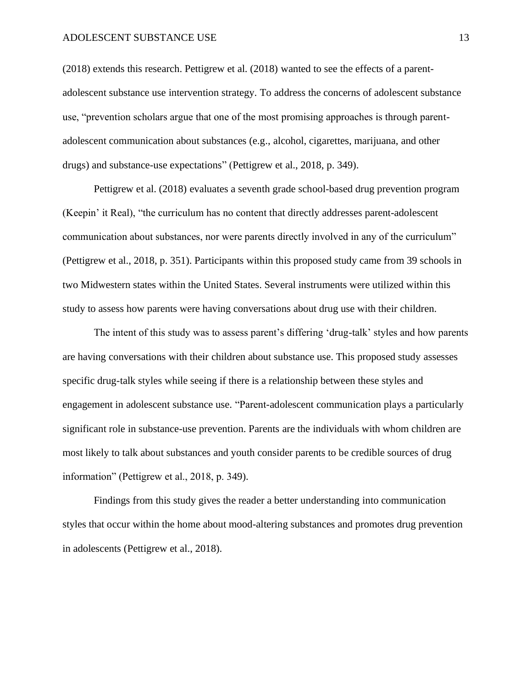#### ADOLESCENT SUBSTANCE USE 13

(2018) extends this research. Pettigrew et al. (2018) wanted to see the effects of a parentadolescent substance use intervention strategy. To address the concerns of adolescent substance use, "prevention scholars argue that one of the most promising approaches is through parentadolescent communication about substances (e.g., alcohol, cigarettes, marijuana, and other drugs) and substance-use expectations" (Pettigrew et al., 2018, p. 349).

Pettigrew et al. (2018) evaluates a seventh grade school-based drug prevention program (Keepin' it Real), "the curriculum has no content that directly addresses parent-adolescent communication about substances, nor were parents directly involved in any of the curriculum" (Pettigrew et al., 2018, p. 351). Participants within this proposed study came from 39 schools in two Midwestern states within the United States. Several instruments were utilized within this study to assess how parents were having conversations about drug use with their children.

The intent of this study was to assess parent's differing 'drug-talk' styles and how parents are having conversations with their children about substance use. This proposed study assesses specific drug-talk styles while seeing if there is a relationship between these styles and engagement in adolescent substance use. "Parent-adolescent communication plays a particularly significant role in substance-use prevention. Parents are the individuals with whom children are most likely to talk about substances and youth consider parents to be credible sources of drug information" (Pettigrew et al., 2018, p. 349).

Findings from this study gives the reader a better understanding into communication styles that occur within the home about mood-altering substances and promotes drug prevention in adolescents (Pettigrew et al., 2018).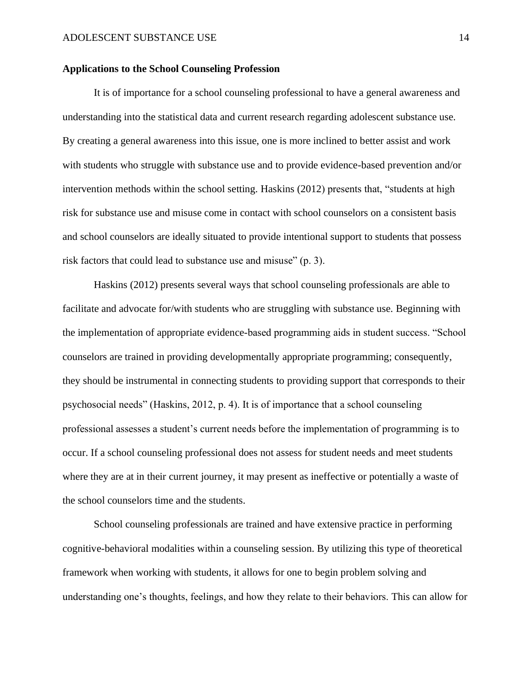#### **Applications to the School Counseling Profession**

It is of importance for a school counseling professional to have a general awareness and understanding into the statistical data and current research regarding adolescent substance use. By creating a general awareness into this issue, one is more inclined to better assist and work with students who struggle with substance use and to provide evidence-based prevention and/or intervention methods within the school setting. Haskins (2012) presents that, "students at high risk for substance use and misuse come in contact with school counselors on a consistent basis and school counselors are ideally situated to provide intentional support to students that possess risk factors that could lead to substance use and misuse" (p. 3).

Haskins (2012) presents several ways that school counseling professionals are able to facilitate and advocate for/with students who are struggling with substance use. Beginning with the implementation of appropriate evidence-based programming aids in student success. "School counselors are trained in providing developmentally appropriate programming; consequently, they should be instrumental in connecting students to providing support that corresponds to their psychosocial needs" (Haskins, 2012, p. 4). It is of importance that a school counseling professional assesses a student's current needs before the implementation of programming is to occur. If a school counseling professional does not assess for student needs and meet students where they are at in their current journey, it may present as ineffective or potentially a waste of the school counselors time and the students.

School counseling professionals are trained and have extensive practice in performing cognitive-behavioral modalities within a counseling session. By utilizing this type of theoretical framework when working with students, it allows for one to begin problem solving and understanding one's thoughts, feelings, and how they relate to their behaviors. This can allow for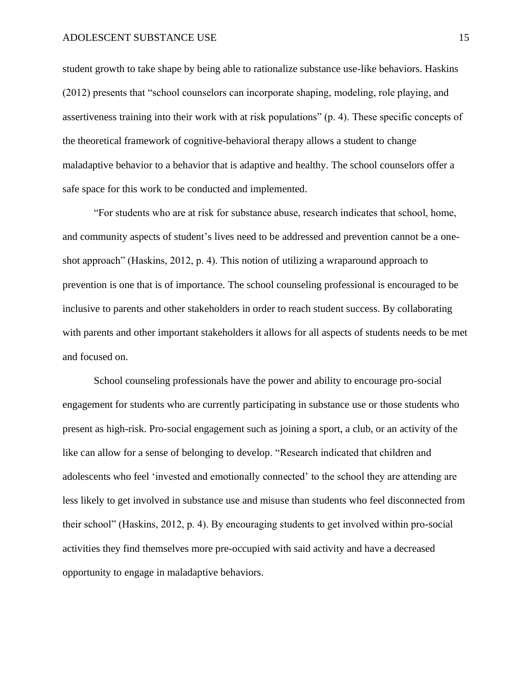student growth to take shape by being able to rationalize substance use-like behaviors. Haskins (2012) presents that "school counselors can incorporate shaping, modeling, role playing, and assertiveness training into their work with at risk populations" (p. 4). These specific concepts of the theoretical framework of cognitive-behavioral therapy allows a student to change maladaptive behavior to a behavior that is adaptive and healthy. The school counselors offer a safe space for this work to be conducted and implemented.

"For students who are at risk for substance abuse, research indicates that school, home, and community aspects of student's lives need to be addressed and prevention cannot be a oneshot approach" (Haskins, 2012, p. 4). This notion of utilizing a wraparound approach to prevention is one that is of importance. The school counseling professional is encouraged to be inclusive to parents and other stakeholders in order to reach student success. By collaborating with parents and other important stakeholders it allows for all aspects of students needs to be met and focused on.

School counseling professionals have the power and ability to encourage pro-social engagement for students who are currently participating in substance use or those students who present as high-risk. Pro-social engagement such as joining a sport, a club, or an activity of the like can allow for a sense of belonging to develop. "Research indicated that children and adolescents who feel 'invested and emotionally connected' to the school they are attending are less likely to get involved in substance use and misuse than students who feel disconnected from their school" (Haskins, 2012, p. 4). By encouraging students to get involved within pro-social activities they find themselves more pre-occupied with said activity and have a decreased opportunity to engage in maladaptive behaviors.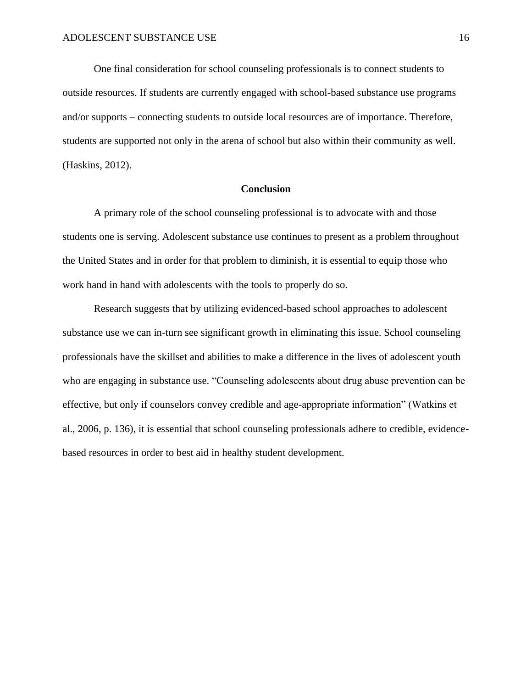One final consideration for school counseling professionals is to connect students to outside resources. If students are currently engaged with school-based substance use programs and/or supports – connecting students to outside local resources are of importance. Therefore, students are supported not only in the arena of school but also within their community as well. (Haskins, 2012).

#### **Conclusion**

A primary role of the school counseling professional is to advocate with and those students one is serving. Adolescent substance use continues to present as a problem throughout the United States and in order for that problem to diminish, it is essential to equip those who work hand in hand with adolescents with the tools to properly do so.

Research suggests that by utilizing evidenced-based school approaches to adolescent substance use we can in-turn see significant growth in eliminating this issue. School counseling professionals have the skillset and abilities to make a difference in the lives of adolescent youth who are engaging in substance use. "Counseling adolescents about drug abuse prevention can be effective, but only if counselors convey credible and age-appropriate information" (Watkins et al., 2006, p. 136), it is essential that school counseling professionals adhere to credible, evidencebased resources in order to best aid in healthy student development.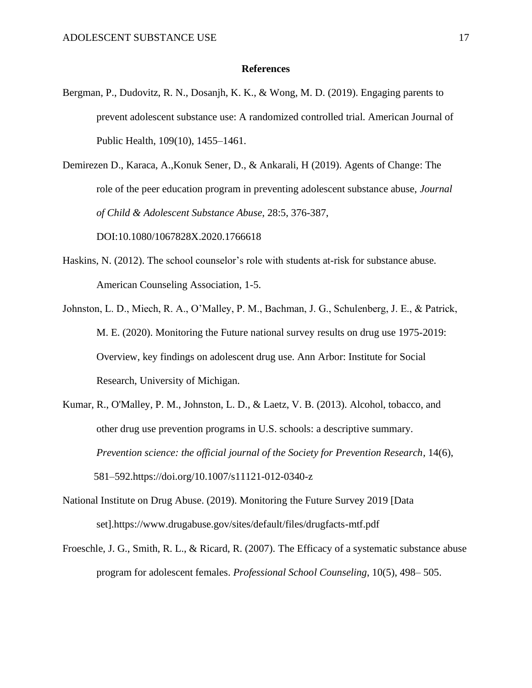#### **References**

- Bergman, P., Dudovitz, R. N., Dosanjh, K. K., & Wong, M. D. (2019). Engaging parents to prevent adolescent substance use: A randomized controlled trial. American Journal of Public Health, 109(10), 1455–1461.
- Demirezen D., Karaca, A.,Konuk Sener, D., & Ankarali, H (2019). Agents of Change: The role of the peer education program in preventing adolescent substance abuse, *Journal of Child & Adolescent Substance Abuse*, 28:5, 376-387,

DOI:10.1080/1067828X.2020.1766618

- Haskins, N. (2012). The school counselor's role with students at-risk for substance abuse. American Counseling Association, 1-5.
- Johnston, L. D., Miech, R. A., O'Malley, P. M., Bachman, J. G., Schulenberg, J. E., & Patrick, M. E. (2020). Monitoring the Future national survey results on drug use 1975-2019: Overview, key findings on adolescent drug use. Ann Arbor: Institute for Social Research, University of Michigan.
- Kumar, R., O'Malley, P. M., Johnston, L. D., & Laetz, V. B. (2013). Alcohol, tobacco, and other drug use prevention programs in U.S. schools: a descriptive summary. *Prevention science: the official journal of the Society for Prevention Research*, 14(6), 581–592.https://doi.org/10.1007/s11121-012-0340-z
- National Institute on Drug Abuse. (2019). Monitoring the Future Survey 2019 [Data set].https://www.drugabuse.gov/sites/default/files/drugfacts-mtf.pdf
- Froeschle, J. G., Smith, R. L., & Ricard, R. (2007). The Efficacy of a systematic substance abuse program for adolescent females. *Professional School Counseling*, 10(5), 498– 505.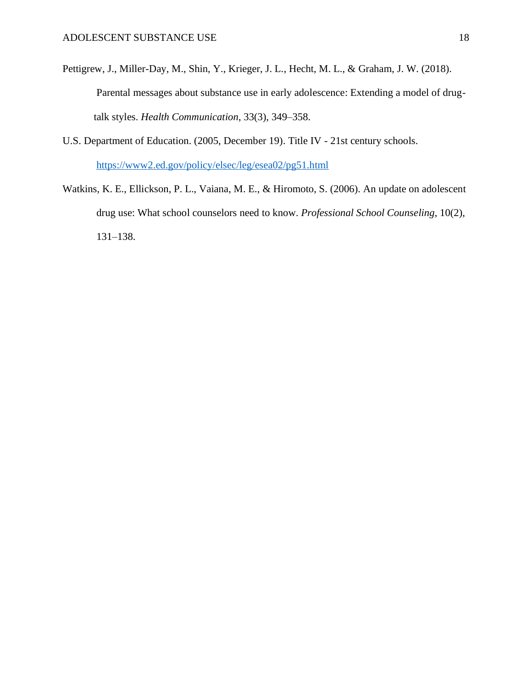- Pettigrew, J., Miller-Day, M., Shin, Y., Krieger, J. L., Hecht, M. L., & Graham, J. W. (2018). Parental messages about substance use in early adolescence: Extending a model of drugtalk styles. *Health Communication*, 33(3), 349–358.
- U.S. Department of Education. (2005, December 19). Title IV 21st century schools. <https://www2.ed.gov/policy/elsec/leg/esea02/pg51.html>
- Watkins, K. E., Ellickson, P. L., Vaiana, M. E., & Hiromoto, S. (2006). An update on adolescent drug use: What school counselors need to know. *Professional School Counseling*, 10(2), 131–138.